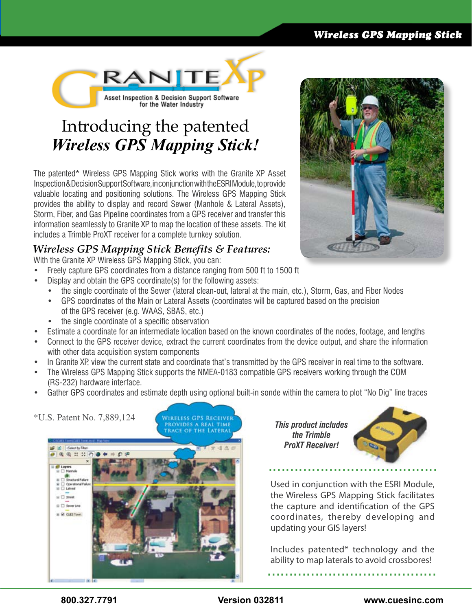#### *Wireless GPS Mapping Stick*



# Introducing the patented *Wireless GPS Mapping Stick!*

The patented\* Wireless GPS Mapping Stick works with the Granite XP Asset Inspection & Decision Support Software, in conjunction with the ESRI Module, to provide valuable locating and positioning solutions. The Wireless GPS Mapping Stick provides the ability to display and record Sewer (Manhole & Lateral Assets), Storm, Fiber, and Gas Pipeline coordinates from a GPS receiver and transfer this information seamlessly to Granite XP to map the location of these assets. The kit includes a Trimble ProXT receiver for a complete turnkey solution.

### *Wireless GPS Mapping Stick Benefits & Features:*

With the Granite XP Wireless GPS Mapping Stick, you can:

- Freely capture GPS coordinates from a distance ranging from 500 ft to 1500 ft
- Display and obtain the GPS coordinate(s) for the following assets:
	- the single coordinate of the Sewer (lateral clean-out, lateral at the main, etc.), Storm, Gas, and Fiber Nodes
	- GPS coordinates of the Main or Lateral Assets (coordinates will be captured based on the precision of the GPS receiver (e.g. WAAS, SBAS, etc.)
	- the single coordinate of a specific observation
- Estimate a coordinate for an intermediate location based on the known coordinates of the nodes, footage, and lengths
- Connect to the GPS receiver device, extract the current coordinates from the device output, and share the information with other data acquisition system components
- In Granite XP, view the current state and coordinate that's transmitted by the GPS receiver in real time to the software.
- The Wireless GPS Mapping Stick supports the NMEA-0183 compatible GPS receivers working through the COM (RS-232) hardware interface.
- Gather GPS coordinates and estimate depth using optional built-in sonde within the camera to plot "No Dig" line traces



*This product includes the Trimble ProXT Receiver!*



Used in conjunction with the ESRI Module, the Wireless GPS Mapping Stick facilitates the capture and identification of the GPS coordinates, thereby developing and updating your GIS layers!

Includes patented\* technology and the ability to map laterals to avoid crossbores! .......................................